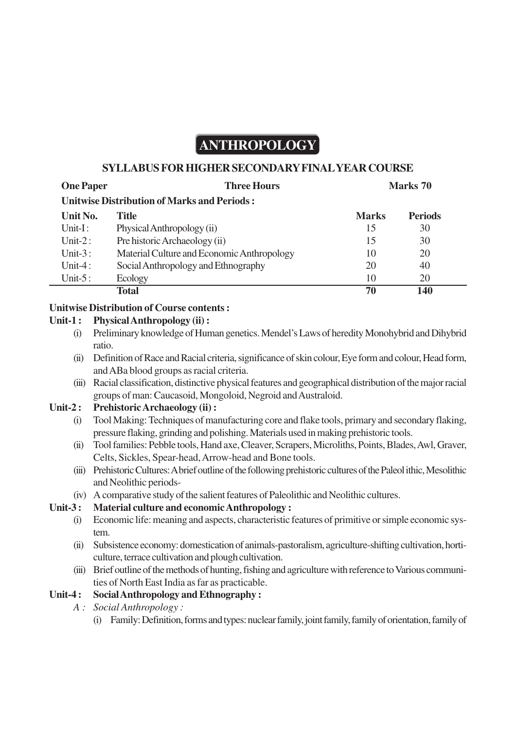# **ANTHROPOLOGY**

#### **SYLLABUS FOR HIGHER SECONDARY FINAL YEAR COURSE**

| <b>One Paper</b>                                   | <b>Three Hours</b>                         |              | Marks 70       |  |  |  |  |  |
|----------------------------------------------------|--------------------------------------------|--------------|----------------|--|--|--|--|--|
| <b>Unitwise Distribution of Marks and Periods:</b> |                                            |              |                |  |  |  |  |  |
| Unit No.                                           | <b>Title</b>                               | <b>Marks</b> | <b>Periods</b> |  |  |  |  |  |
| $Unit-I$ :                                         | Physical Anthropology (ii)                 | 15           | 30             |  |  |  |  |  |
| Unit- $2:$                                         | Pre historic Archaeology (ii)              | 15           | 30             |  |  |  |  |  |
| Unit- $3:$                                         | Material Culture and Economic Anthropology | 10           | 20             |  |  |  |  |  |
| Unit-4:                                            | Social Anthropology and Ethnography        | 20           | 40             |  |  |  |  |  |
| Unit- $5:$                                         | Ecology                                    | 10           | 20             |  |  |  |  |  |
|                                                    | <b>Total</b>                               | 70           | 140            |  |  |  |  |  |
|                                                    |                                            |              |                |  |  |  |  |  |

#### **Unitwise Distribution of Course contents :**

#### **Unit-1 : Physical Anthropology (ii) :**

- (i) Preliminary knowledge of Human genetics. Mendel's Laws of heredity Monohybrid and Dihybrid ratio.
- (ii) Definition of Race and Racial criteria, significance of skin colour, Eye form and colour, Head form, and ABa blood groups as racial criteria.
- (iii) Racial classification, distinctive physical features and geographical distribution of the major racial groups of man: Caucasoid, Mongoloid, Negroid and Australoid.

#### **Unit-2 : Prehistoric Archaeology (ii) :**

- (i) Tool Making: Techniques of manufacturing core and flake tools, primary and secondary flaking, pressure flaking, grinding and polishing. Materials used in making prehistoric tools.
- (ii) Tool families: Pebble tools, Hand axe, Cleaver, Scrapers, Microliths, Points, Blades, Awl, Graver, Celts, Sickles, Spear-head, Arrow-head and Bone tools.
- (iii) Prehistoric Cultures: A brief outline of the following prehistoric cultures of the Paleol ithic, Mesolithic and Neolithic periods-
- (iv) A comparative study of the salient features of Paleolithic and Neolithic cultures.

### **Unit-3 : Material culture and economic Anthropology :**

- (i) Economic life: meaning and aspects, characteristic features of primitive or simple economic system.
- (ii) Subsistence economy: domestication of animals-pastoralism, agriculture-shifting cultivation, horticulture, terrace cultivation and plough cultivation.
- (iii) Brief outline of the methods of hunting, fishing and agriculture with reference to Various communities of North East India as far as practicable.

## **Unit-4 : Social Anthropology and Ethnography :**

- *A : Social Anthropology :*
	- (i) Family: Definition, forms and types: nuclear family, joint family, family of orientation, family of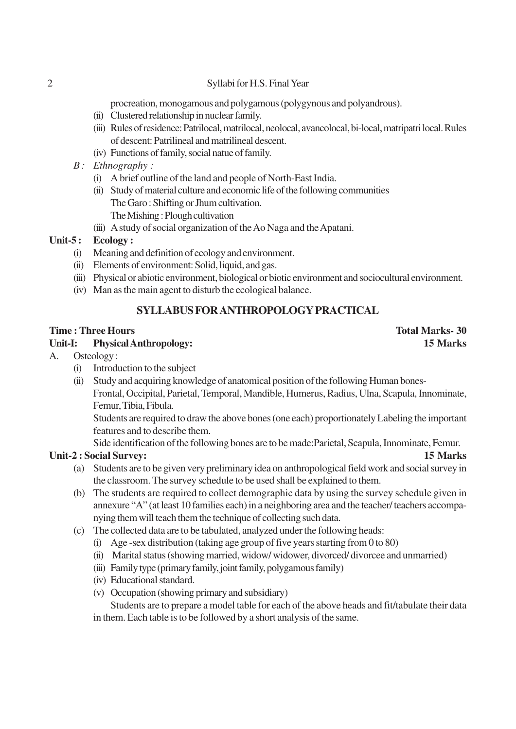#### 2 Syllabi for H.S. Final Year

procreation, monogamous and polygamous (polygynous and polyandrous).

- (ii) Clustered relationship in nuclear family.
- (iii) Rules of residence: Patrilocal, matrilocal, neolocal, avancolocal, bi-local, matripatri local. Rules of descent: Patrilineal and matrilineal descent.
- (iv) Functions of family, social natue of family.
- *B : Ethnography :*
	- (i) A brief outline of the land and people of North-East India.
	- (ii) Study of material culture and economic life of the following communities The Garo : Shifting or Jhum cultivation.
		- The Mishing : Plough cultivation
	- (iii) A study of social organization of the Ao Naga and the Apatani.

#### **Unit-5 : Ecology :**

- (i) Meaning and definition of ecology and environment.
- (ii) Elements of environment: Solid, liquid, and gas.
- (iii) Physical or abiotic environment, biological or biotic environment and sociocultural environment.
- (iv) Man as the main agent to disturb the ecological balance.

## **SYLLABUS FOR ANTHROPOLOGY PRACTICAL**

#### **Time : Three Hours Total Marks- 30**

#### **Unit-I: Physical Anthropology: 15 Marks**

- A. Osteology :
	- (i) Introduction to the subject
	- (ii) Study and acquiring knowledge of anatomical position of the following Human bones-Frontal, Occipital, Parietal, Temporal, Mandible, Humerus, Radius, Ulna, Scapula, Innominate,
		- Femur, Tibia, Fibula.

Students are required to draw the above bones (one each) proportionately Labeling the important features and to describe them.

Side identification of the following bones are to be made:Parietal, Scapula, Innominate, Femur.

#### **Unit-2 : Social Survey: 15 Marks**

- (a) Students are to be given very preliminary idea on anthropological field work and social survey in the classroom. The survey schedule to be used shall be explained to them.
- (b) The students are required to collect demographic data by using the survey schedule given in annexure "A" (at least 10 families each) in a neighboring area and the teacher/ teachers accompanying them will teach them the technique of collecting such data.
- (c) The collected data are to be tabulated, analyzed under the following heads:
	- (i) Age -sex distribution (taking age group of five years starting from 0 to 80)
	- (ii) Marital status (showing married, widow/ widower, divorced/ divorcee and unmarried)
	- (iii) Family type (primary family, joint family, polygamous family)
	- (iv) Educational standard.
	- (v) Occupation (showing primary and subsidiary)

Students are to prepare a model table for each of the above heads and fit/tabulate their data in them. Each table is to be followed by a short analysis of the same.